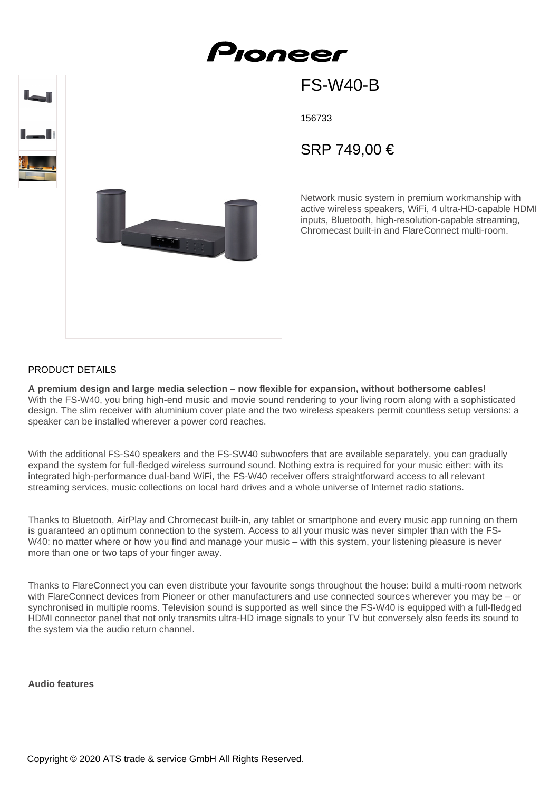# FS-W40-B

156733

Proneer

## SRP 749,00 €

Network music system in premium workmanship with active wireless speakers, WiFi, 4 ultra-HD-capable HDMI inputs, Bluetooth, high-resolution-capable streaming, Chromecast built-in and FlareConnect multi-room.

#### PRODUCT DETAILS

**A premium design and large media selection – now flexible for expansion, without bothersome cables!** With the FS-W40, you bring high-end music and movie sound rendering to your living room along with a sophisticated design. The slim receiver with aluminium cover plate and the two wireless speakers permit countless setup versions: a speaker can be installed wherever a power cord reaches.

With the additional FS-S40 speakers and the FS-SW40 subwoofers that are available separately, you can gradually expand the system for full-fledged wireless surround sound. Nothing extra is required for your music either: with its integrated high-performance dual-band WiFi, the FS-W40 receiver offers straightforward access to all relevant streaming services, music collections on local hard drives and a whole universe of Internet radio stations.

Thanks to Bluetooth, AirPlay and Chromecast built-in, any tablet or smartphone and every music app running on them is guaranteed an optimum connection to the system. Access to all your music was never simpler than with the FS-W40: no matter where or how you find and manage your music – with this system, your listening pleasure is never more than one or two taps of your finger away.

Thanks to FlareConnect you can even distribute your favourite songs throughout the house: build a multi-room network with FlareConnect devices from Pioneer or other manufacturers and use connected sources wherever you may be – or synchronised in multiple rooms. Television sound is supported as well since the FS-W40 is equipped with a full-fledged HDMI connector panel that not only transmits ultra-HD image signals to your TV but conversely also feeds its sound to the system via the audio return channel.

**Audio features**